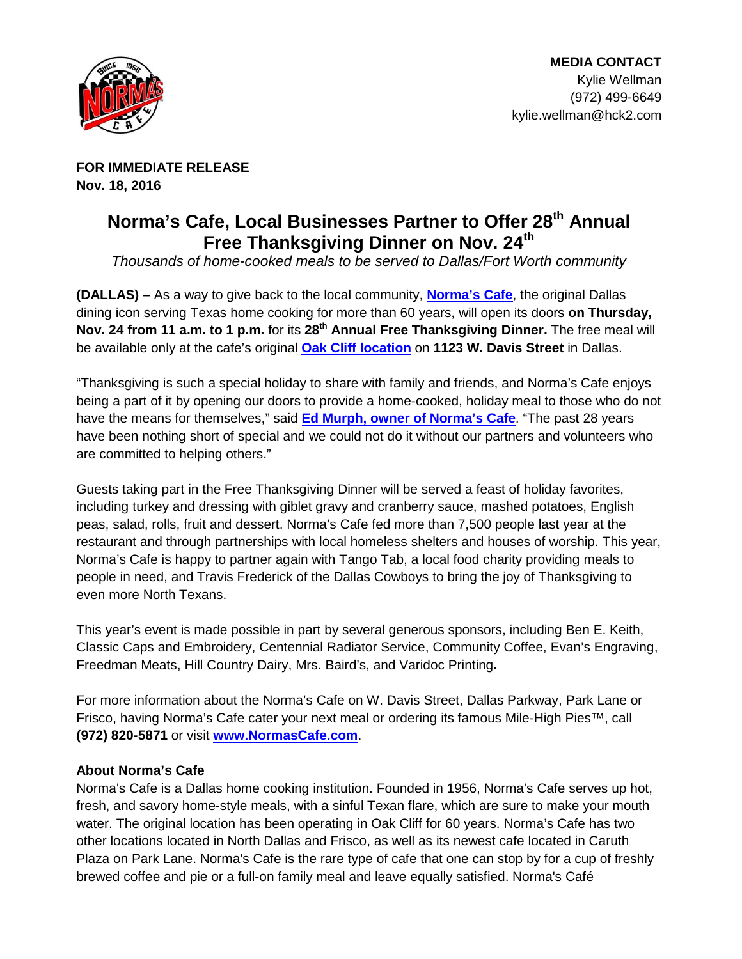

**FOR IMMEDIATE RELEASE Nov. 18, 2016**

## **Norma's Cafe, Local Businesses Partner to Offer 28th Annual**  Free Thanksgiving Dinner on Nov. 24<sup>th</sup>

Thousands of home-cooked meals to be served to Dallas/Fort Worth community

**(DALLAS) –** As a way to give back to the local community, **[Norma's Cafe](http://www.normascafe.com/)**, the original Dallas dining icon serving Texas home cooking for more than 60 years, will open its doors **on Thursday, Nov. 24 from 11 a.m. to 1 p.m.** for its **28th Annual Free Thanksgiving Dinner.** The free meal will be available only at the cafe's original **[Oak Cliff location](http://normascafe.com/locations/)** on **1123 W. Davis Street** in Dallas.

"Thanksgiving is such a special holiday to share with family and friends, and Norma's Cafe enjoys being a part of it by opening our doors to provide a home-cooked, holiday meal to those who do not have the means for themselves," said **[Ed Murph, owner of Norma's Cafe](http://normascafe.com/about/)**. "The past 28 years have been nothing short of special and we could not do it without our partners and volunteers who are committed to helping others."

Guests taking part in the Free Thanksgiving Dinner will be served a feast of holiday favorites, including turkey and dressing with giblet gravy and cranberry sauce, mashed potatoes, English peas, salad, rolls, fruit and dessert. Norma's Cafe fed more than 7,500 people last year at the restaurant and through partnerships with local homeless shelters and houses of worship. This year, Norma's Cafe is happy to partner again with Tango Tab, a local food charity providing meals to people in need, and Travis Frederick of the Dallas Cowboys to bring the joy of Thanksgiving to even more North Texans.

This year's event is made possible in part by several generous sponsors, including Ben E. Keith, Classic Caps and Embroidery, Centennial Radiator Service, Community Coffee, Evan's Engraving, Freedman Meats, Hill Country Dairy, Mrs. Baird's, and Varidoc Printing**.** 

For more information about the Norma's Cafe on W. Davis Street, Dallas Parkway, Park Lane or Frisco, having Norma's Cafe cater your next meal or ordering its famous Mile-High Pies™, call **(972) 820-5871** or visit **[www.NormasCafe.com](http://www.normascafe.com/)**.

## **About Norma's Cafe**

Norma's Cafe is a Dallas home cooking institution. Founded in 1956, Norma's Cafe serves up hot, fresh, and savory home-style meals, with a sinful Texan flare, which are sure to make your mouth water. The original location has been operating in Oak Cliff for 60 years. Norma's Cafe has two other locations located in North Dallas and Frisco, as well as its newest cafe located in Caruth Plaza on Park Lane. Norma's Cafe is the rare type of cafe that one can stop by for a cup of freshly brewed coffee and pie or a full-on family meal and leave equally satisfied. Norma's Café